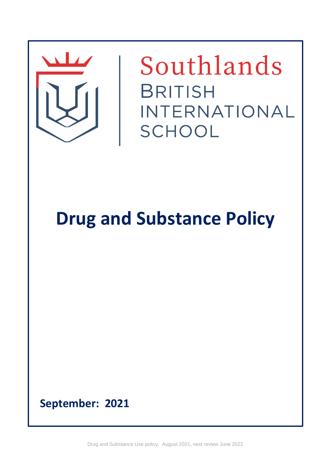

Southlands **BRITISH** INTERNATIONAL SCHOOL

# **Drug and Substance Policy**

**September: 2021**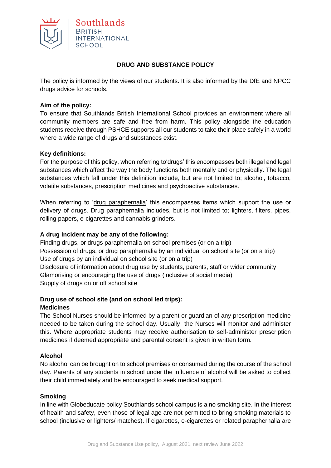

## **DRUG AND SUBSTANCE POLICY**

The policy is informed by the views of our students. It is also informed by the DfE and NPCC drugs advice for schools.

## **Aim of the policy:**

To ensure that Southlands British International School provides an environment where all community members are safe and free from harm. This policy alongside the education students receive through PSHCE supports all our students to take their place safely in a world where a wide range of drugs and substances exist.

#### **Key definitions:**

For the purpose of this policy, when referring to'drugs' this encompasses both illegal and legal substances which affect the way the body functions both mentally and or physically. The legal substances which fall under this definition include, but are not limited to; alcohol, tobacco, volatile substances, prescription medicines and psychoactive substances.

When referring to 'drug paraphernalia' this encompasses items which support the use or delivery of drugs. Drug paraphernalia includes, but is not limited to; lighters, filters, pipes, rolling papers, e-cigarettes and cannabis grinders.

#### **A drug incident may be any of the following:**

Finding drugs, or drugs paraphernalia on school premises (or on a trip) Possession of drugs, or drug paraphernalia by an individual on school site (or on a trip) Use of drugs by an individual on school site (or on a trip) Disclosure of information about drug use by students, parents, staff or wider community Glamorising or encouraging the use of drugs (inclusive of social media) Supply of drugs on or off school site

#### **Drug use of school site (and on school led trips): Medicines**

The School Nurses should be informed by a parent or guardian of any prescription medicine needed to be taken during the school day. Usually the Nurses will monitor and administer this. Where appropriate students may receive authorisation to self-administer prescription medicines if deemed appropriate and parental consent is given in written form.

#### **Alcohol**

No alcohol can be brought on to school premises or consumed during the course of the school day. Parents of any students in school under the influence of alcohol will be asked to collect their child immediately and be encouraged to seek medical support.

#### **Smoking**

In line with Globeducate policy Southlands school campus is a no smoking site. In the interest of health and safety, even those of legal age are not permitted to bring smoking materials to school (inclusive or lighters/ matches). If cigarettes, e-cigarettes or related paraphernalia are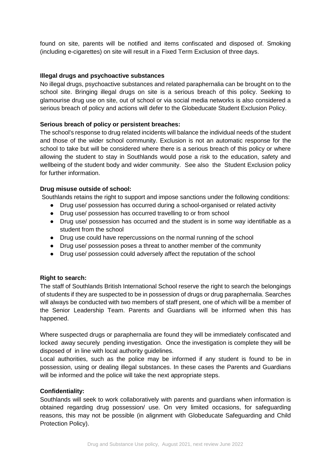found on site, parents will be notified and items confiscated and disposed of. Smoking (including e-cigarettes) on site will result in a Fixed Term Exclusion of three days.

## **Illegal drugs and psychoactive substances**

No illegal drugs, psychoactive substances and related paraphernalia can be brought on to the school site. Bringing illegal drugs on site is a serious breach of this policy. Seeking to glamourise drug use on site, out of school or via social media networks is also considered a serious breach of policy and actions will defer to the Globeducate Student Exclusion Policy.

#### **Serious breach of policy or persistent breaches:**

The school's response to drug related incidents will balance the individual needs of the student and those of the wider school community. Exclusion is not an automatic response for the school to take but will be considered where there is a serious breach of this policy or where allowing the student to stay in Southlands would pose a risk to the education, safety and wellbeing of the student body and wider community. See also the Student Exclusion policy for further information.

#### **Drug misuse outside of school:**

Southlands retains the right to support and impose sanctions under the following conditions:

- Drug use/ possession has occurred during a school-organised or related activity
- Drug use/ possession has occurred travelling to or from school
- Drug use/ possession has occurred and the student is in some way identifiable as a student from the school
- Drug use could have repercussions on the normal running of the school
- Drug use/ possession poses a threat to another member of the community
- Drug use/ possession could adversely affect the reputation of the school

## **Right to search:**

The staff of Southlands British International School reserve the right to search the belongings of students if they are suspected to be in possession of drugs or drug paraphernalia. Searches will always be conducted with two members of staff present, one of which will be a member of the Senior Leadership Team. Parents and Guardians will be informed when this has happened.

Where suspected drugs or paraphernalia are found they will be immediately confiscated and locked away securely pending investigation. Once the investigation is complete they will be disposed of in line with local authority guidelines.

Local authorities, such as the police may be informed if any student is found to be in possession, using or dealing illegal substances. In these cases the Parents and Guardians will be informed and the police will take the next appropriate steps.

#### **Confidentiality:**

Southlands will seek to work collaboratively with parents and guardians when information is obtained regarding drug possession/ use. On very limited occasions, for safeguarding reasons, this may not be possible (in alignment with Globeducate Safeguarding and Child Protection Policy).